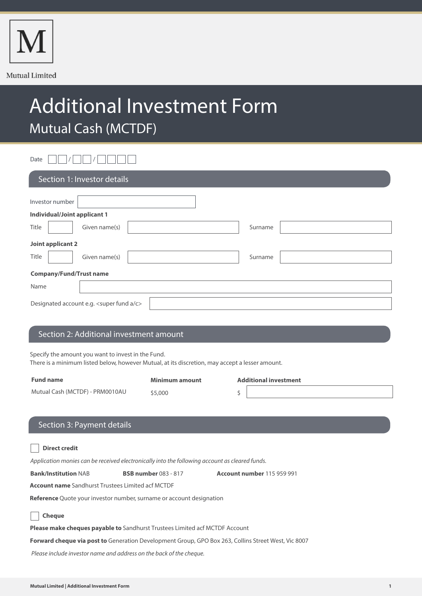

# Additional Investment Form Mutual Cash (MCTDF)

Date  $\Box \Box / \Box \Box / \Box \Box$ 

| Section 1: Investor details               |                          |  |  |  |
|-------------------------------------------|--------------------------|--|--|--|
| Investor number                           |                          |  |  |  |
| <b>Individual/Joint applicant 1</b>       |                          |  |  |  |
| Title                                     | Given name(s)<br>Surname |  |  |  |
| Joint applicant 2                         |                          |  |  |  |
| Title                                     | Given name(s)<br>Surname |  |  |  |
| <b>Company/Fund/Trust name</b>            |                          |  |  |  |
| Name                                      |                          |  |  |  |
| Designated account e.g. < super fund a/c> |                          |  |  |  |

## Section 2: Additional investment amount

Specify the amount you want to invest in the Fund.

There is a minimum listed below, however Mutual, at its discretion, may accept a lesser amount.

| <b>Fund name</b>                | Minimum amount | <b>Additional investment</b> |
|---------------------------------|----------------|------------------------------|
| Mutual Cash (MCTDF) - PRM0010AU | \$5,000        |                              |
|                                 |                |                              |

# Section 3: Payment details

| <b>Direct credit</b>                                                                           |                             |                                   |  |  |  |
|------------------------------------------------------------------------------------------------|-----------------------------|-----------------------------------|--|--|--|
| Application monies can be received electronically into the following account as cleared funds. |                             |                                   |  |  |  |
| <b>Bank/Institution NAB</b>                                                                    | <b>BSB number</b> 083 - 817 | <b>Account number 115 959 991</b> |  |  |  |
| <b>Account name</b> Sandhurst Trustees Limited acf MCTDF                                       |                             |                                   |  |  |  |
| <b>Reference</b> Quote your investor number, surname or account designation                    |                             |                                   |  |  |  |
| <b>Cheque</b>                                                                                  |                             |                                   |  |  |  |
| <b>Please make cheques payable to</b> Sandhurst Trustees Limited acf MCTDF Account             |                             |                                   |  |  |  |

**Forward cheque via post to** Generation Development Group, GPO Box 263, Collins Street West, Vic 8007

Please include investor name and address on the back of the cheque.